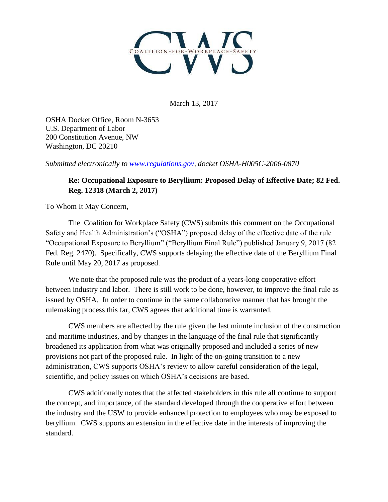

March 13, 2017

OSHA Docket Office, Room N-3653 U.S. Department of Labor 200 Constitution Avenue, NW Washington, DC 20210

*Submitted electronically to [www.regulations.gov,](http://www.regulations.gov/) docket OSHA-H005C-2006-0870*

## **Re: Occupational Exposure to Beryllium: Proposed Delay of Effective Date; 82 Fed. Reg. 12318 (March 2, 2017)**

To Whom It May Concern,

The Coalition for Workplace Safety (CWS) submits this comment on the Occupational Safety and Health Administration's ("OSHA") proposed delay of the effective date of the rule "Occupational Exposure to Beryllium" ("Beryllium Final Rule") published January 9, 2017 (82 Fed. Reg. 2470). Specifically, CWS supports delaying the effective date of the Beryllium Final Rule until May 20, 2017 as proposed.

We note that the proposed rule was the product of a years-long cooperative effort between industry and labor. There is still work to be done, however, to improve the final rule as issued by OSHA. In order to continue in the same collaborative manner that has brought the rulemaking process this far, CWS agrees that additional time is warranted.

CWS members are affected by the rule given the last minute inclusion of the construction and maritime industries, and by changes in the language of the final rule that significantly broadened its application from what was originally proposed and included a series of new provisions not part of the proposed rule. In light of the on-going transition to a new administration, CWS supports OSHA's review to allow careful consideration of the legal, scientific, and policy issues on which OSHA's decisions are based.

CWS additionally notes that the affected stakeholders in this rule all continue to support the concept, and importance, of the standard developed through the cooperative effort between the industry and the USW to provide enhanced protection to employees who may be exposed to beryllium. CWS supports an extension in the effective date in the interests of improving the standard.